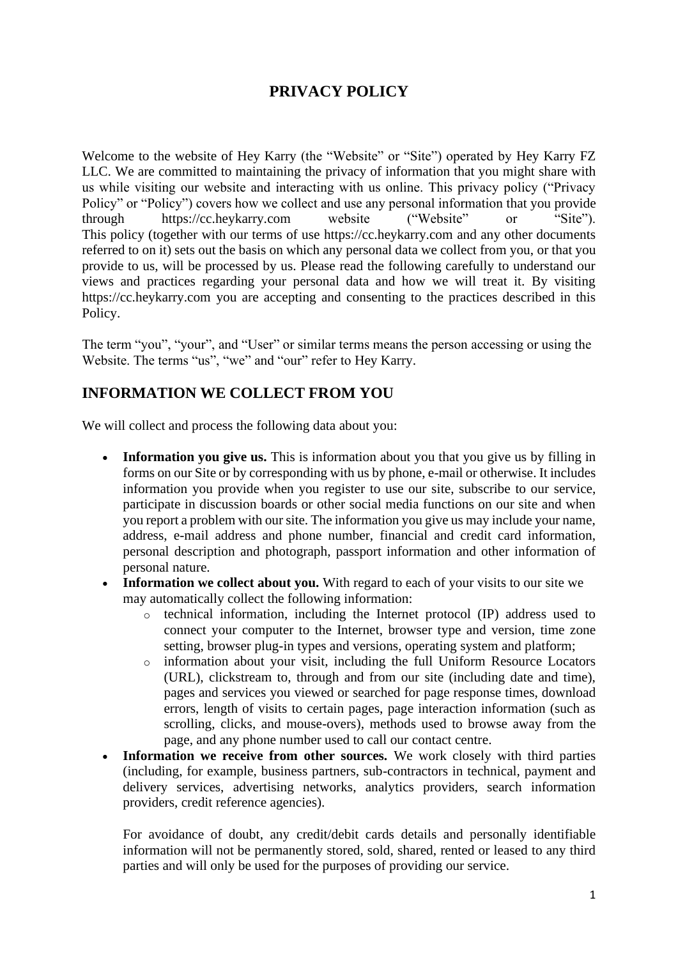# **PRIVACY POLICY**

Welcome to the website of Hey Karry (the "Website" or "Site") operated by Hey Karry FZ LLC. We are committed to maintaining the privacy of information that you might share with us while visiting our website and interacting with us online. This privacy policy ("Privacy Policy" or "Policy") covers how we collect and use any personal information that you provide through https://cc.heykarry.com website ("Website" or "Site"). This policy (together with our terms of use https://cc.heykarry.com and any other documents referred to on it) sets out the basis on which any personal data we collect from you, or that you provide to us, will be processed by us. Please read the following carefully to understand our views and practices regarding your personal data and how we will treat it. By visiting https://cc.heykarry.com you are accepting and consenting to the practices described in this Policy.

The term "you", "your", and "User" or similar terms means the person accessing or using the Website. The terms "us", "we" and "our" refer to Hey Karry.

## **INFORMATION WE COLLECT FROM YOU**

We will collect and process the following data about you:

- **Information you give us.** This is information about you that you give us by filling in forms on our Site or by corresponding with us by phone, e-mail or otherwise. It includes information you provide when you register to use our site, subscribe to our service, participate in discussion boards or other social media functions on our site and when you report a problem with our site. The information you give us may include your name, address, e-mail address and phone number, financial and credit card information, personal description and photograph, passport information and other information of personal nature.
- **Information we collect about you.** With regard to each of your visits to our site we may automatically collect the following information:
	- o technical information, including the Internet protocol (IP) address used to connect your computer to the Internet, browser type and version, time zone setting, browser plug-in types and versions, operating system and platform;
	- o information about your visit, including the full Uniform Resource Locators (URL), clickstream to, through and from our site (including date and time), pages and services you viewed or searched for page response times, download errors, length of visits to certain pages, page interaction information (such as scrolling, clicks, and mouse-overs), methods used to browse away from the page, and any phone number used to call our contact centre.
- **Information we receive from other sources.** We work closely with third parties (including, for example, business partners, sub-contractors in technical, payment and delivery services, advertising networks, analytics providers, search information providers, credit reference agencies).

For avoidance of doubt, any credit/debit cards details and personally identifiable information will not be permanently stored, sold, shared, rented or leased to any third parties and will only be used for the purposes of providing our service.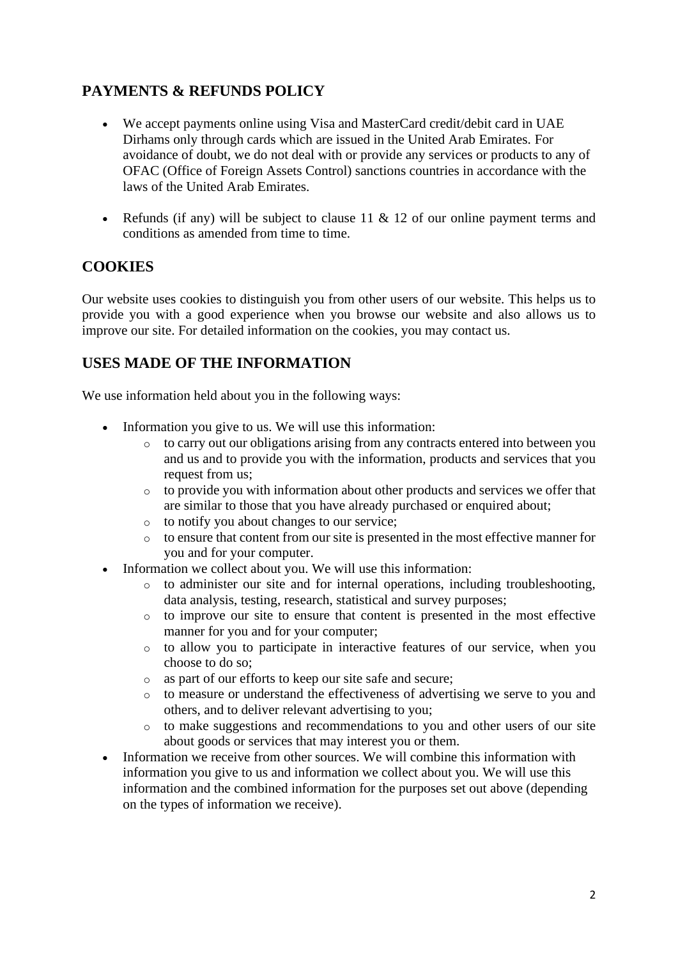## **PAYMENTS & REFUNDS POLICY**

- We accept payments online using Visa and MasterCard credit/debit card in UAE Dirhams only through cards which are issued in the United Arab Emirates. For avoidance of doubt, we do not deal with or provide any services or products to any of OFAC (Office of Foreign Assets Control) sanctions countries in accordance with the laws of the United Arab Emirates.
- Refunds (if any) will be subject to clause 11  $\&$  12 of our online payment terms and conditions as amended from time to time.

#### **COOKIES**

Our website uses cookies to distinguish you from other users of our website. This helps us to provide you with a good experience when you browse our website and also allows us to improve our site. For detailed information on the cookies, you may contact us.

#### **USES MADE OF THE INFORMATION**

We use information held about you in the following ways:

- Information you give to us. We will use this information:
	- o to carry out our obligations arising from any contracts entered into between you and us and to provide you with the information, products and services that you request from us;
	- o to provide you with information about other products and services we offer that are similar to those that you have already purchased or enquired about;
	- o to notify you about changes to our service;
	- o to ensure that content from our site is presented in the most effective manner for you and for your computer.
- Information we collect about you. We will use this information:
	- to administer our site and for internal operations, including troubleshooting, data analysis, testing, research, statistical and survey purposes;
	- o to improve our site to ensure that content is presented in the most effective manner for you and for your computer;
	- o to allow you to participate in interactive features of our service, when you choose to do so;
	- o as part of our efforts to keep our site safe and secure;
	- o to measure or understand the effectiveness of advertising we serve to you and others, and to deliver relevant advertising to you;
	- o to make suggestions and recommendations to you and other users of our site about goods or services that may interest you or them.
- Information we receive from other sources. We will combine this information with information you give to us and information we collect about you. We will use this information and the combined information for the purposes set out above (depending on the types of information we receive).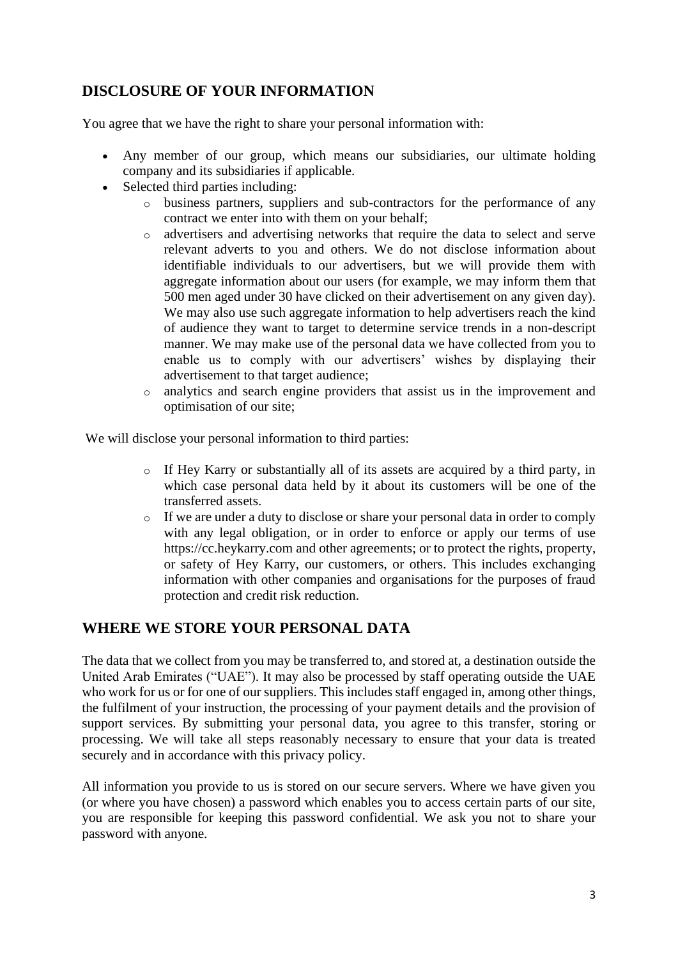## **DISCLOSURE OF YOUR INFORMATION**

You agree that we have the right to share your personal information with:

- Any member of our group, which means our subsidiaries, our ultimate holding company and its subsidiaries if applicable.
- Selected third parties including:
	- o business partners, suppliers and sub-contractors for the performance of any contract we enter into with them on your behalf;
	- o advertisers and advertising networks that require the data to select and serve relevant adverts to you and others. We do not disclose information about identifiable individuals to our advertisers, but we will provide them with aggregate information about our users (for example, we may inform them that 500 men aged under 30 have clicked on their advertisement on any given day). We may also use such aggregate information to help advertisers reach the kind of audience they want to target to determine service trends in a non-descript manner. We may make use of the personal data we have collected from you to enable us to comply with our advertisers' wishes by displaying their advertisement to that target audience;
	- o analytics and search engine providers that assist us in the improvement and optimisation of our site;

We will disclose your personal information to third parties:

- o If Hey Karry or substantially all of its assets are acquired by a third party, in which case personal data held by it about its customers will be one of the transferred assets.
- o If we are under a duty to disclose or share your personal data in order to comply with any legal obligation, or in order to enforce or apply our terms of use https://cc.heykarry.com and other agreements; or to protect the rights, property, or safety of Hey Karry, our customers, or others. This includes exchanging information with other companies and organisations for the purposes of fraud protection and credit risk reduction.

#### **WHERE WE STORE YOUR PERSONAL DATA**

The data that we collect from you may be transferred to, and stored at, a destination outside the United Arab Emirates ("UAE"). It may also be processed by staff operating outside the UAE who work for us or for one of our suppliers. This includes staff engaged in, among other things, the fulfilment of your instruction, the processing of your payment details and the provision of support services. By submitting your personal data, you agree to this transfer, storing or processing. We will take all steps reasonably necessary to ensure that your data is treated securely and in accordance with this privacy policy.

All information you provide to us is stored on our secure servers. Where we have given you (or where you have chosen) a password which enables you to access certain parts of our site, you are responsible for keeping this password confidential. We ask you not to share your password with anyone.